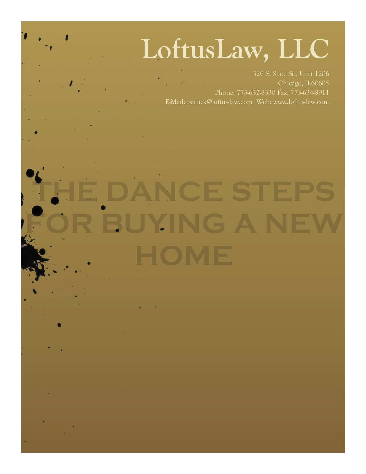# **LoftusLaw, LLC**

Chicago, IL60605 Phone: 773-632-8330 Fax: 773-634-8911 E-Mail: patrick@loftus-law.com Web: www.loftus-law.com

**THE DANCE FUYING**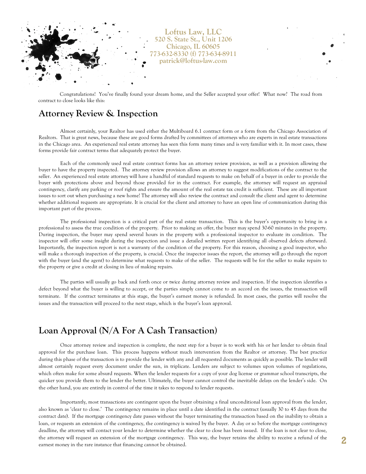

Congratulations! You've finally found your dream home, and the Seller accepted your offer! What now? The road from contract to close looks like this:

### **Attorney Review & Inspection**

Almost certainly, your Realtor has used either the Multiboard 6.1 contract form or a form from the Chicago Association of Realtors. That is great news, because these are good forms drafted by committees of attorneys who are experts in real estate transactions in the Chicago area. An experienced real estate attorney has seen this form many times and is very familiar with it. In most cases, these forms provide fair contract terms that adequately protect the buyer.

Each of the commonly used real estate contract forms has an attorney review provision, as well as a provision allowing the buyer to have the property inspected. The attorney review provision allows an attorney to suggest modifications of the contract to the seller. An experienced real estate attorney will have a handful of standard requests to make on behalf of a buyer in order to provide the buyer with protections above and beyond those provided for in the contract. For example, the attorney will request an appraisal contingency, clarify any parking or roof rights and ensure the amount of the real estate tax credit is sufficient. These are all important issues to sort out when purchasing a new home! The attorney will also review the contract and consult the client and agent to determine whether additional requests are appropriate. It is crucial for the client and attorney to have an open line of communication during this important part of the process.

The professional inspection is a critical part of the real estate transaction. This is the buyer's opportunity to bring in a professional to assess the true condition of the property. Prior to making an offer, the buyer may spend 30-60 minutes in the property. During inspection, the buyer may spend several hours in the property with a professional inspector to evaluate its condition. The inspector will offer some insight during the inspection and issue a detailed written report identifying all observed defects afterward. Importantly, the inspection report is not a warranty of the condition of the property. For this reason, choosing a good inspector, who will make a thorough inspection of the property, is crucial. Once the inspector issues the report, the attorney will go through the report with the buyer (and the agent) to determine what requests to make of the seller. The requests will be for the seller to make repairs to the property or give a credit at closing in lieu of making repairs.

The parties will usually go back and forth once or twice during attorney review and inspection. If the inspection identifies a defect beyond what the buyer is willing to accept, or the parties simply cannot come to an accord on the issues, the transaction will terminate. If the contract terminates at this stage, the buyer's earnest money is refunded. In most cases, the parties will resolve the issues and the transaction will proceed to the next stage, which is the buyer's loan approval.

## **Loan Approval (N/A For A Cash Transaction)**

Once attorney review and inspection is complete, the next step for a buyer is to work with his or her lender to obtain final approval for the purchase loan. This process happens without much intervention from the Realtor or attorney. The best practice during this phase of the transaction is to provide the lender with any and all requested documents as quickly as possible. The lender will almost certainly request every document under the sun, in triplicate. Lenders are subject to volumes upon volumes of regulations, which often make for some absurd requests. When the lender requests for a copy of your dog license or grammar school transcripts, the quicker you provide them to the lender the better. Ultimately, the buyer cannot control the inevitable delays on the lender's side. On the other hand, you are entirely in control of the time it takes to respond to lender requests.

Importantly, most transactions are contingent upon the buyer obtaining a final unconditional loan approval from the lender, also known as 'clear to close.' The contingency remains in place until a date identified in the contract (usually 30 to 45 days from the contract date). If the mortgage contingency date passes without the buyer terminating the transaction based on the inability to obtain a loan, or requests an extension of the contingency, the contingency is waived by the buyer. A day or so before the mortgage contingency deadline, the attorney will contact your lender to determine whether the clear to close has been issued. If the loan is not clear to close, the attorney will request an extension of the mortgage contingency. This way, the buyer retains the ability to receive a refund of the earnest money in the rare instance that financing cannot be obtained.